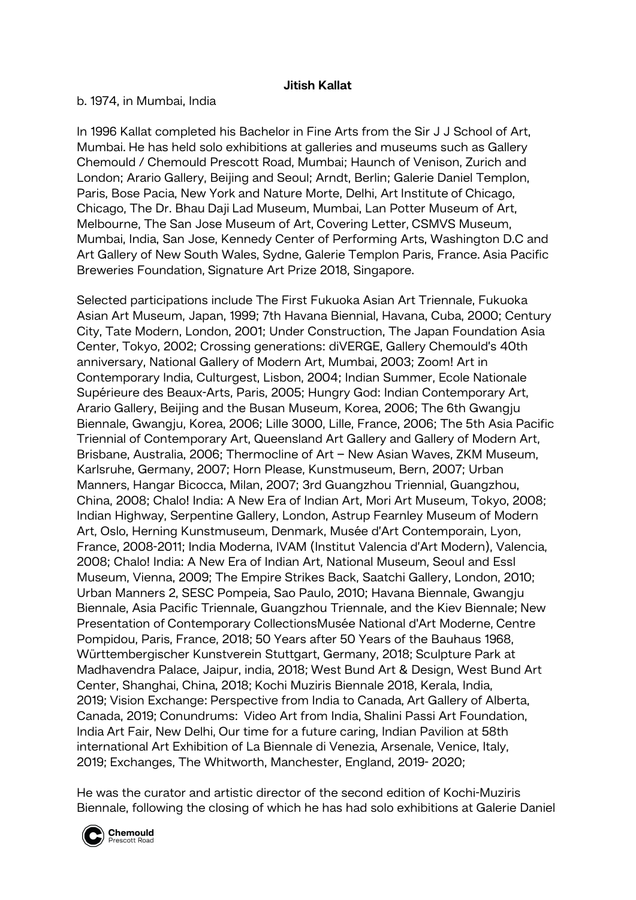## **Jitish Kallat**

b. 1974, in Mumbai, India

In 1996 Kallat completed his Bachelor in Fine Arts from the Sir J J School of Art, Mumbai. He has held solo exhibitions at galleries and museums such as Gallery Chemould / Chemould Prescott Road, Mumbai; Haunch of Venison, Zurich and London; Arario Gallery, Beijing and Seoul; Arndt, Berlin; Galerie Daniel Templon, Paris, Bose Pacia, New York and Nature Morte, Delhi, Art Institute of Chicago, Chicago, The Dr. Bhau Daji Lad Museum, Mumbai, Lan Potter Museum of Art, Melbourne, The San Jose Museum of Art, Covering Letter, CSMVS Museum, Mumbai, India, San Jose, Kennedy Center of Performing Arts, Washington D.C and Art Gallery of New South Wales, Sydne, Galerie Templon Paris, France. Asia Pacific Breweries Foundation, Signature Art Prize 2018, Singapore.

Selected participations include The First Fukuoka Asian Art Triennale, Fukuoka Asian Art Museum, Japan, 1999; 7th Havana Biennial, Havana, Cuba, 2000; Century City, Tate Modern, London, 2001; Under Construction, The Japan Foundation Asia Center, Tokyo, 2002; Crossing generations: diVERGE, Gallery Chemould's 40th anniversary, National Gallery of Modern Art, Mumbai, 2003; Zoom! Art in Contemporary India, Culturgest, Lisbon, 2004; Indian Summer, Ecole Nationale Supérieure des Beaux-Arts, Paris, 2005; Hungry God: Indian Contemporary Art, Arario Gallery, Beijing and the Busan Museum, Korea, 2006; The 6th Gwangju Biennale, Gwangju, Korea, 2006; Lille 3000, Lille, France, 2006; The 5th Asia Pacific Triennial of Contemporary Art, Queensland Art Gallery and Gallery of Modern Art, Brisbane, Australia, 2006; Thermocline of Art – New Asian Waves, ZKM Museum, Karlsruhe, Germany, 2007; Horn Please, Kunstmuseum, Bern, 2007; Urban Manners, Hangar Bicocca, Milan, 2007; 3rd Guangzhou Triennial, Guangzhou, China, 2008; Chalo! India: A New Era of Indian Art, Mori Art Museum, Tokyo, 2008; Indian Highway, Serpentine Gallery, London, Astrup Fearnley Museum of Modern Art, Oslo, Herning Kunstmuseum, Denmark, Musée d'Art Contemporain, Lyon, France, 2008-2011; India Moderna, IVAM (Institut Valencia d'Art Modern), Valencia, 2008; Chalo! India: A New Era of Indian Art, National Museum, Seoul and Essl Museum, Vienna, 2009; The Empire Strikes Back, Saatchi Gallery, London, 2010; Urban Manners 2, SESC Pompeia, Sao Paulo, 2010; Havana Biennale, Gwangju Biennale, Asia Pacific Triennale, Guangzhou Triennale, and the Kiev Biennale; New Presentation of Contemporary CollectionsMusée National d'Art Moderne, Centre Pompidou, Paris, France, 2018; 50 Years after 50 Years of the Bauhaus 1968, Württembergischer Kunstverein Stuttgart, Germany, 2018; Sculpture Park at Madhavendra Palace, Jaipur, india, 2018; West Bund Art & Design, West Bund Art Center, Shanghai, China, 2018; Kochi Muziris Biennale 2018, Kerala, India, 2019; Vision Exchange: Perspective from India to Canada, Art Gallery of Alberta, Canada, 2019; Conundrums: Video Art from India, Shalini Passi Art Foundation, India Art Fair, New Delhi, Our time for a future caring, Indian Pavilion at 58th international Art Exhibition of La Biennale di Venezia, Arsenale, Venice, Italy, 2019; Exchanges, The Whitworth, Manchester, England, 2019- 2020;

He was the curator and artistic director of the second edition of Kochi-Muziris Biennale, following the closing of which he has had solo exhibitions at Galerie Daniel